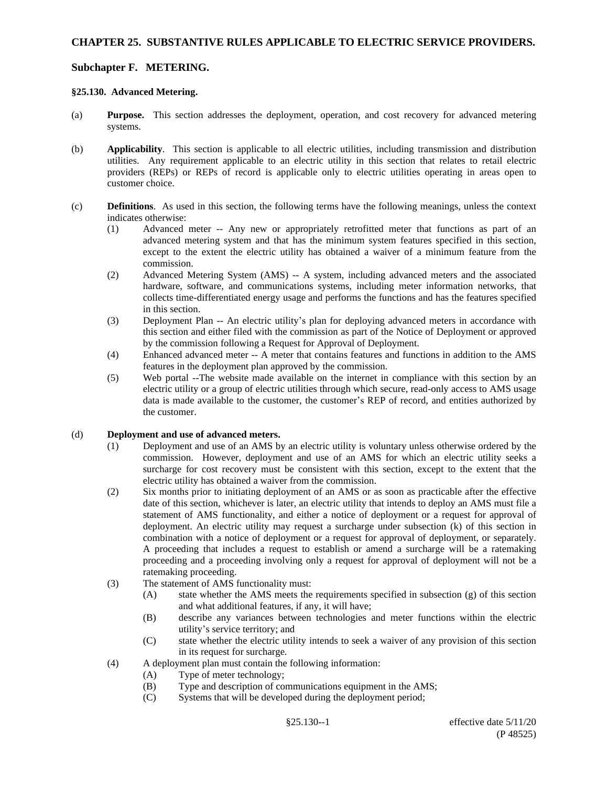## **§25.130. Advanced Metering.**

- (a) **Purpose.** This section addresses the deployment, operation, and cost recovery for advanced metering systems.
- (b) **Applicability**. This section is applicable to all electric utilities, including transmission and distribution utilities. Any requirement applicable to an electric utility in this section that relates to retail electric providers (REPs) or REPs of record is applicable only to electric utilities operating in areas open to customer choice.
- (c) **Definitions**. As used in this section, the following terms have the following meanings, unless the context indicates otherwise:
	- (1) Advanced meter -- Any new or appropriately retrofitted meter that functions as part of an advanced metering system and that has the minimum system features specified in this section, except to the extent the electric utility has obtained a waiver of a minimum feature from the commission.
	- (2) Advanced Metering System (AMS) -- A system, including advanced meters and the associated hardware, software, and communications systems, including meter information networks, that collects time-differentiated energy usage and performs the functions and has the features specified in this section.
	- (3) Deployment Plan -- An electric utility's plan for deploying advanced meters in accordance with this section and either filed with the commission as part of the Notice of Deployment or approved by the commission following a Request for Approval of Deployment.
	- (4) Enhanced advanced meter -- A meter that contains features and functions in addition to the AMS features in the deployment plan approved by the commission.
	- (5) Web portal --The website made available on the internet in compliance with this section by an electric utility or a group of electric utilities through which secure, read-only access to AMS usage data is made available to the customer, the customer's REP of record, and entities authorized by the customer.

### (d) **Deployment and use of advanced meters.**

- (1) Deployment and use of an AMS by an electric utility is voluntary unless otherwise ordered by the commission. However, deployment and use of an AMS for which an electric utility seeks a surcharge for cost recovery must be consistent with this section, except to the extent that the electric utility has obtained a waiver from the commission.
- (2) Six months prior to initiating deployment of an AMS or as soon as practicable after the effective date of this section, whichever is later, an electric utility that intends to deploy an AMS must file a statement of AMS functionality, and either a notice of deployment or a request for approval of deployment. An electric utility may request a surcharge under subsection (k) of this section in combination with a notice of deployment or a request for approval of deployment, or separately. A proceeding that includes a request to establish or amend a surcharge will be a ratemaking proceeding and a proceeding involving only a request for approval of deployment will not be a ratemaking proceeding.
- (3) The statement of AMS functionality must:
	- (A) state whether the AMS meets the requirements specified in subsection (g) of this section and what additional features, if any, it will have;
	- (B) describe any variances between technologies and meter functions within the electric utility's service territory; and
	- (C) state whether the electric utility intends to seek a waiver of any provision of this section in its request for surcharge.
- (4) A deployment plan must contain the following information:
	- (A) Type of meter technology;
	- (B) Type and description of communications equipment in the AMS;
	- (C) Systems that will be developed during the deployment period;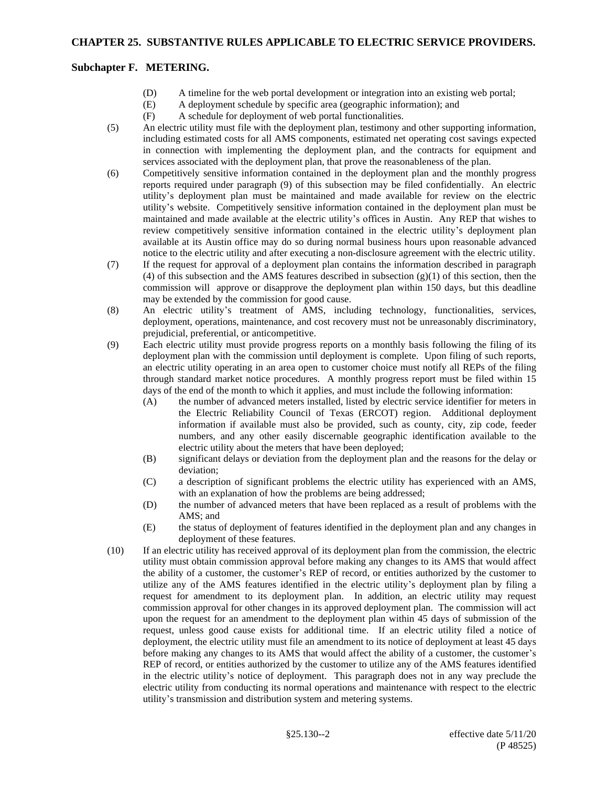- (D) A timeline for the web portal development or integration into an existing web portal;
- (E) A deployment schedule by specific area (geographic information); and
- (F) A schedule for deployment of web portal functionalities.
- (5) An electric utility must file with the deployment plan, testimony and other supporting information, including estimated costs for all AMS components, estimated net operating cost savings expected in connection with implementing the deployment plan, and the contracts for equipment and services associated with the deployment plan, that prove the reasonableness of the plan.
- (6) Competitively sensitive information contained in the deployment plan and the monthly progress reports required under paragraph (9) of this subsection may be filed confidentially. An electric utility's deployment plan must be maintained and made available for review on the electric utility's website. Competitively sensitive information contained in the deployment plan must be maintained and made available at the electric utility's offices in Austin. Any REP that wishes to review competitively sensitive information contained in the electric utility's deployment plan available at its Austin office may do so during normal business hours upon reasonable advanced notice to the electric utility and after executing a non-disclosure agreement with the electric utility.
- (7) If the request for approval of a deployment plan contains the information described in paragraph (4) of this subsection and the AMS features described in subsection  $(g)(1)$  of this section, then the commission will approve or disapprove the deployment plan within 150 days, but this deadline may be extended by the commission for good cause.
- (8) An electric utility's treatment of AMS, including technology, functionalities, services, deployment, operations, maintenance, and cost recovery must not be unreasonably discriminatory, prejudicial, preferential, or anticompetitive.
- (9) Each electric utility must provide progress reports on a monthly basis following the filing of its deployment plan with the commission until deployment is complete. Upon filing of such reports, an electric utility operating in an area open to customer choice must notify all REPs of the filing through standard market notice procedures. A monthly progress report must be filed within 15 days of the end of the month to which it applies, and must include the following information:
	- (A) the number of advanced meters installed, listed by electric service identifier for meters in the Electric Reliability Council of Texas (ERCOT) region. Additional deployment information if available must also be provided, such as county, city, zip code, feeder numbers, and any other easily discernable geographic identification available to the electric utility about the meters that have been deployed;
	- (B) significant delays or deviation from the deployment plan and the reasons for the delay or deviation;
	- (C) a description of significant problems the electric utility has experienced with an AMS, with an explanation of how the problems are being addressed;
	- (D) the number of advanced meters that have been replaced as a result of problems with the AMS; and
	- (E) the status of deployment of features identified in the deployment plan and any changes in deployment of these features.
- (10) If an electric utility has received approval of its deployment plan from the commission, the electric utility must obtain commission approval before making any changes to its AMS that would affect the ability of a customer, the customer's REP of record, or entities authorized by the customer to utilize any of the AMS features identified in the electric utility's deployment plan by filing a request for amendment to its deployment plan. In addition, an electric utility may request commission approval for other changes in its approved deployment plan. The commission will act upon the request for an amendment to the deployment plan within 45 days of submission of the request, unless good cause exists for additional time. If an electric utility filed a notice of deployment, the electric utility must file an amendment to its notice of deployment at least 45 days before making any changes to its AMS that would affect the ability of a customer, the customer's REP of record, or entities authorized by the customer to utilize any of the AMS features identified in the electric utility's notice of deployment. This paragraph does not in any way preclude the electric utility from conducting its normal operations and maintenance with respect to the electric utility's transmission and distribution system and metering systems.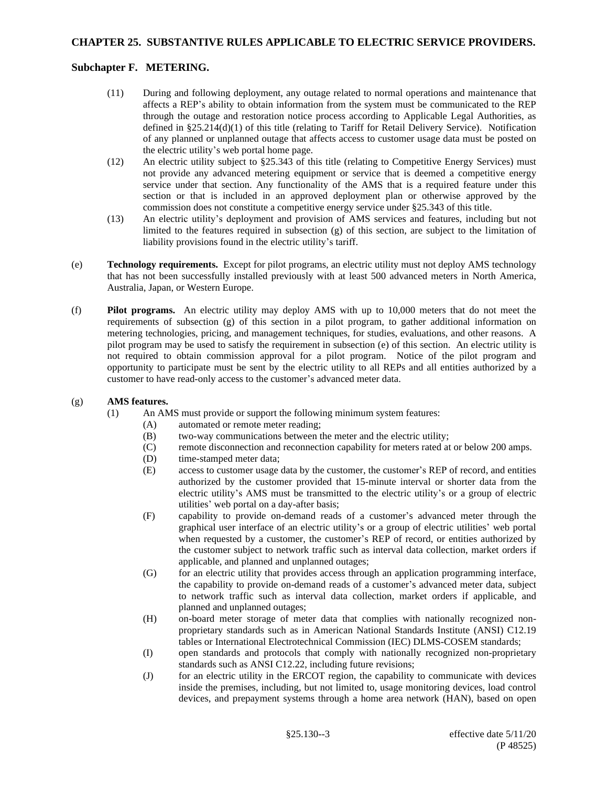### **CHAPTER 25. SUBSTANTIVE RULES APPLICABLE TO ELECTRIC SERVICE PROVIDERS.**

### **Subchapter F. METERING.**

- (11) During and following deployment, any outage related to normal operations and maintenance that affects a REP's ability to obtain information from the system must be communicated to the REP through the outage and restoration notice process according to Applicable Legal Authorities, as defined in §25.214(d)(1) of this title (relating to Tariff for Retail Delivery Service). Notification of any planned or unplanned outage that affects access to customer usage data must be posted on the electric utility's web portal home page.
- (12) An electric utility subject to §25.343 of this title (relating to Competitive Energy Services) must not provide any advanced metering equipment or service that is deemed a competitive energy service under that section. Any functionality of the AMS that is a required feature under this section or that is included in an approved deployment plan or otherwise approved by the commission does not constitute a competitive energy service under §25.343 of this title.
- (13) An electric utility's deployment and provision of AMS services and features, including but not limited to the features required in subsection (g) of this section, are subject to the limitation of liability provisions found in the electric utility's tariff.
- (e) **Technology requirements.** Except for pilot programs, an electric utility must not deploy AMS technology that has not been successfully installed previously with at least 500 advanced meters in North America, Australia, Japan, or Western Europe.
- (f) **Pilot programs.** An electric utility may deploy AMS with up to 10,000 meters that do not meet the requirements of subsection (g) of this section in a pilot program, to gather additional information on metering technologies, pricing, and management techniques, for studies, evaluations, and other reasons. A pilot program may be used to satisfy the requirement in subsection (e) of this section. An electric utility is not required to obtain commission approval for a pilot program. Notice of the pilot program and opportunity to participate must be sent by the electric utility to all REPs and all entities authorized by a customer to have read-only access to the customer's advanced meter data.

#### (g) **AMS features.**

- (1) An AMS must provide or support the following minimum system features:
	- (A) automated or remote meter reading;
	- (B) two-way communications between the meter and the electric utility;
	- (C) remote disconnection and reconnection capability for meters rated at or below 200 amps.
	- (D) time-stamped meter data;
	- (E) access to customer usage data by the customer, the customer's REP of record, and entities authorized by the customer provided that 15-minute interval or shorter data from the electric utility's AMS must be transmitted to the electric utility's or a group of electric utilities' web portal on a day-after basis;
	- (F) capability to provide on-demand reads of a customer's advanced meter through the graphical user interface of an electric utility's or a group of electric utilities' web portal when requested by a customer, the customer's REP of record, or entities authorized by the customer subject to network traffic such as interval data collection, market orders if applicable, and planned and unplanned outages;
	- (G) for an electric utility that provides access through an application programming interface, the capability to provide on-demand reads of a customer's advanced meter data, subject to network traffic such as interval data collection, market orders if applicable, and planned and unplanned outages;
	- (H) on-board meter storage of meter data that complies with nationally recognized nonproprietary standards such as in American National Standards Institute (ANSI) C12.19 tables or International Electrotechnical Commission (IEC) DLMS-COSEM standards;
	- (I) open standards and protocols that comply with nationally recognized non-proprietary standards such as ANSI C12.22, including future revisions;
	- (J) for an electric utility in the ERCOT region, the capability to communicate with devices inside the premises, including, but not limited to, usage monitoring devices, load control devices, and prepayment systems through a home area network (HAN), based on open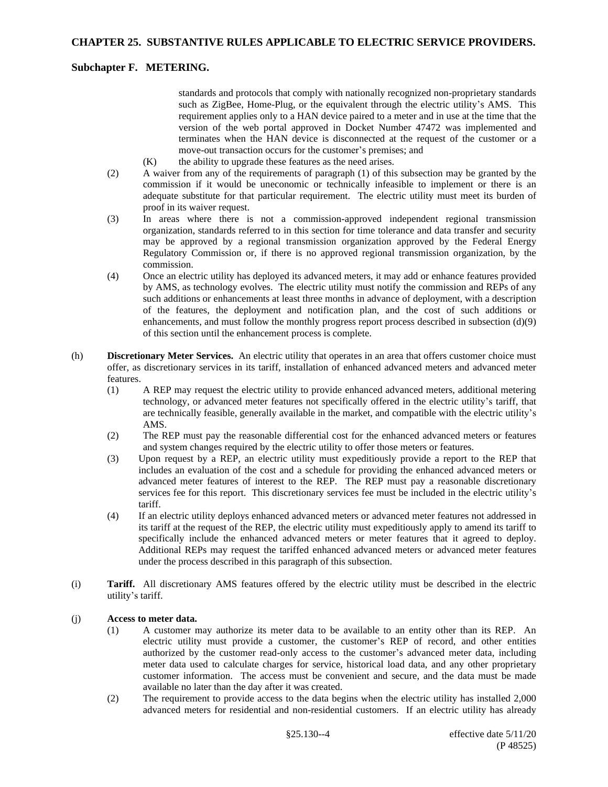standards and protocols that comply with nationally recognized non-proprietary standards such as ZigBee, Home-Plug, or the equivalent through the electric utility's AMS. This requirement applies only to a HAN device paired to a meter and in use at the time that the version of the web portal approved in Docket Number 47472 was implemented and terminates when the HAN device is disconnected at the request of the customer or a move-out transaction occurs for the customer's premises; and

- $(K)$  the ability to upgrade these features as the need arises.
- (2) A waiver from any of the requirements of paragraph (1) of this subsection may be granted by the commission if it would be uneconomic or technically infeasible to implement or there is an adequate substitute for that particular requirement. The electric utility must meet its burden of proof in its waiver request.
- (3) In areas where there is not a commission-approved independent regional transmission organization, standards referred to in this section for time tolerance and data transfer and security may be approved by a regional transmission organization approved by the Federal Energy Regulatory Commission or, if there is no approved regional transmission organization, by the commission.
- (4) Once an electric utility has deployed its advanced meters, it may add or enhance features provided by AMS, as technology evolves. The electric utility must notify the commission and REPs of any such additions or enhancements at least three months in advance of deployment, with a description of the features, the deployment and notification plan, and the cost of such additions or enhancements, and must follow the monthly progress report process described in subsection (d)(9) of this section until the enhancement process is complete.
- (h) **Discretionary Meter Services.** An electric utility that operates in an area that offers customer choice must offer, as discretionary services in its tariff, installation of enhanced advanced meters and advanced meter features.
	- (1) A REP may request the electric utility to provide enhanced advanced meters, additional metering technology, or advanced meter features not specifically offered in the electric utility's tariff, that are technically feasible, generally available in the market, and compatible with the electric utility's AMS.
	- (2) The REP must pay the reasonable differential cost for the enhanced advanced meters or features and system changes required by the electric utility to offer those meters or features.
	- (3) Upon request by a REP, an electric utility must expeditiously provide a report to the REP that includes an evaluation of the cost and a schedule for providing the enhanced advanced meters or advanced meter features of interest to the REP. The REP must pay a reasonable discretionary services fee for this report. This discretionary services fee must be included in the electric utility's tariff.
	- (4) If an electric utility deploys enhanced advanced meters or advanced meter features not addressed in its tariff at the request of the REP, the electric utility must expeditiously apply to amend its tariff to specifically include the enhanced advanced meters or meter features that it agreed to deploy. Additional REPs may request the tariffed enhanced advanced meters or advanced meter features under the process described in this paragraph of this subsection.
- (i) **Tariff.** All discretionary AMS features offered by the electric utility must be described in the electric utility's tariff.

### (j) **Access to meter data.**

- (1) A customer may authorize its meter data to be available to an entity other than its REP. An electric utility must provide a customer, the customer's REP of record, and other entities authorized by the customer read-only access to the customer's advanced meter data, including meter data used to calculate charges for service, historical load data, and any other proprietary customer information. The access must be convenient and secure, and the data must be made available no later than the day after it was created.
- (2) The requirement to provide access to the data begins when the electric utility has installed 2,000 advanced meters for residential and non-residential customers. If an electric utility has already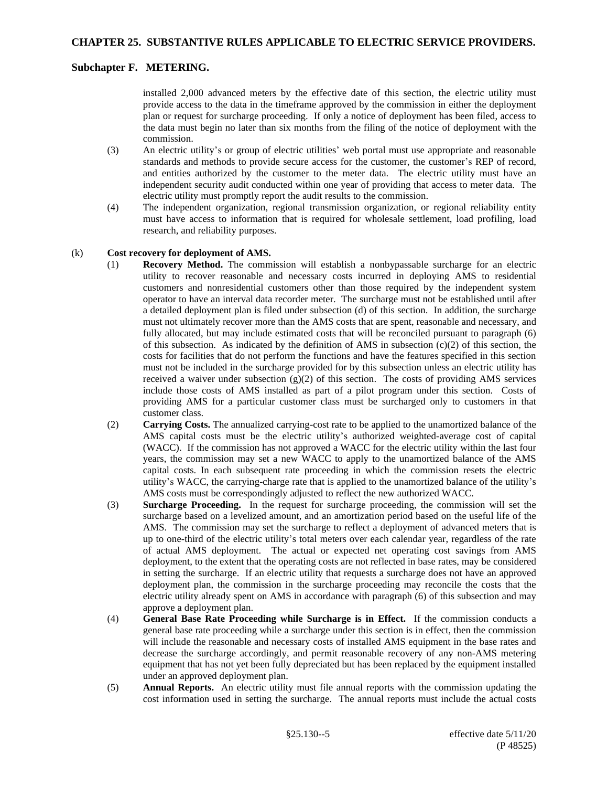installed 2,000 advanced meters by the effective date of this section, the electric utility must provide access to the data in the timeframe approved by the commission in either the deployment plan or request for surcharge proceeding. If only a notice of deployment has been filed, access to the data must begin no later than six months from the filing of the notice of deployment with the commission.

- (3) An electric utility's or group of electric utilities' web portal must use appropriate and reasonable standards and methods to provide secure access for the customer, the customer's REP of record, and entities authorized by the customer to the meter data. The electric utility must have an independent security audit conducted within one year of providing that access to meter data. The electric utility must promptly report the audit results to the commission.
- (4) The independent organization, regional transmission organization, or regional reliability entity must have access to information that is required for wholesale settlement, load profiling, load research, and reliability purposes.

#### (k) **Cost recovery for deployment of AMS.**

- (1) **Recovery Method.** The commission will establish a nonbypassable surcharge for an electric utility to recover reasonable and necessary costs incurred in deploying AMS to residential customers and nonresidential customers other than those required by the independent system operator to have an interval data recorder meter. The surcharge must not be established until after a detailed deployment plan is filed under subsection (d) of this section. In addition, the surcharge must not ultimately recover more than the AMS costs that are spent, reasonable and necessary, and fully allocated, but may include estimated costs that will be reconciled pursuant to paragraph (6) of this subsection. As indicated by the definition of AMS in subsection  $(c)(2)$  of this section, the costs for facilities that do not perform the functions and have the features specified in this section must not be included in the surcharge provided for by this subsection unless an electric utility has received a waiver under subsection  $(g)(2)$  of this section. The costs of providing AMS services include those costs of AMS installed as part of a pilot program under this section. Costs of providing AMS for a particular customer class must be surcharged only to customers in that customer class.
- (2) **Carrying Costs.** The annualized carrying-cost rate to be applied to the unamortized balance of the AMS capital costs must be the electric utility's authorized weighted-average cost of capital (WACC). If the commission has not approved a WACC for the electric utility within the last four years, the commission may set a new WACC to apply to the unamortized balance of the AMS capital costs. In each subsequent rate proceeding in which the commission resets the electric utility's WACC, the carrying-charge rate that is applied to the unamortized balance of the utility's AMS costs must be correspondingly adjusted to reflect the new authorized WACC.
- (3) **Surcharge Proceeding.** In the request for surcharge proceeding, the commission will set the surcharge based on a levelized amount, and an amortization period based on the useful life of the AMS. The commission may set the surcharge to reflect a deployment of advanced meters that is up to one-third of the electric utility's total meters over each calendar year, regardless of the rate of actual AMS deployment. The actual or expected net operating cost savings from AMS deployment, to the extent that the operating costs are not reflected in base rates, may be considered in setting the surcharge. If an electric utility that requests a surcharge does not have an approved deployment plan, the commission in the surcharge proceeding may reconcile the costs that the electric utility already spent on AMS in accordance with paragraph (6) of this subsection and may approve a deployment plan.
- (4) **General Base Rate Proceeding while Surcharge is in Effect.** If the commission conducts a general base rate proceeding while a surcharge under this section is in effect, then the commission will include the reasonable and necessary costs of installed AMS equipment in the base rates and decrease the surcharge accordingly, and permit reasonable recovery of any non-AMS metering equipment that has not yet been fully depreciated but has been replaced by the equipment installed under an approved deployment plan.
- (5) **Annual Reports.** An electric utility must file annual reports with the commission updating the cost information used in setting the surcharge. The annual reports must include the actual costs